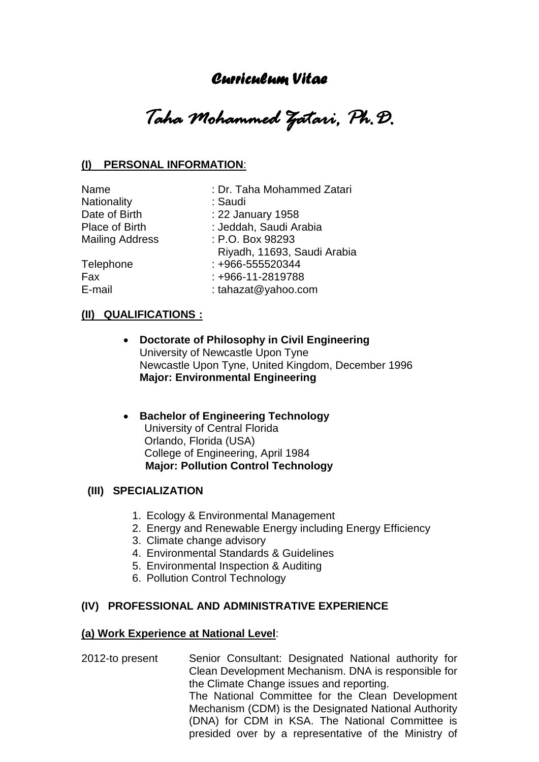# *Curriculum Vitae*

*Taha Mohammed Zatari, Ph.D.* 

# **(I) PERSONAL INFORMATION**:

Name : Dr. Taha Mohammed Zatari Nationality : Saudi Date of Birth : 22 January 1958 Place of Birth : Jeddah, Saudi Arabia Place of Billing<br>Mailing Address : P.O. Box 98293 Riyadh, 11693, Saudi Arabia Telephone : +966-555520344 Fax : +966-11-2819788 E-mail : tahazat@yahoo.com

### **(II) QUALIFICATIONS :**

- **Doctorate of Philosophy in Civil Engineering** University of Newcastle Upon Tyne Newcastle Upon Tyne, United Kingdom, December 1996 **Major: Environmental Engineering**
- **Bachelor of Engineering Technology**  University of Central Florida Orlando, Florida (USA) College of Engineering, April 1984  **Major: Pollution Control Technology**

# **(III) SPECIALIZATION**

- 1. Ecology & Environmental Management
- 2. Energy and Renewable Energy including Energy Efficiency
- 3. Climate change advisory
- 4. Environmental Standards & Guidelines
- 5. Environmental Inspection & Auditing
- 6. Pollution Control Technology

#### **(IV) PROFESSIONAL AND ADMINISTRATIVE EXPERIENCE**

#### **(a) Work Experience at National Level**:

2012-to present Senior Consultant: Designated National authority for Clean Development Mechanism. DNA is responsible for the Climate Change issues and reporting. The National Committee for the Clean Development Mechanism (CDM) is the Designated National Authority (DNA) for CDM in KSA. The National Committee is presided over by a representative of the Ministry of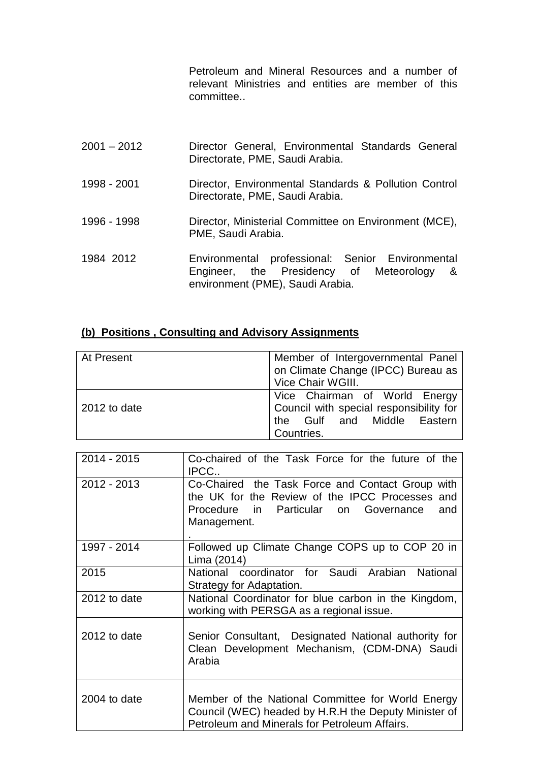Petroleum and Mineral Resources and a number of relevant Ministries and entities are member of this committee..

| $2001 - 2012$ | Director General, Environmental Standards General<br>Directorate, PME, Saudi Arabia.                                              |
|---------------|-----------------------------------------------------------------------------------------------------------------------------------|
| 1998 - 2001   | Director, Environmental Standards & Pollution Control<br>Directorate, PME, Saudi Arabia.                                          |
| 1996 - 1998   | Director, Ministerial Committee on Environment (MCE),<br>PME, Saudi Arabia.                                                       |
| 1984 2012     | Environmental professional: Senior Environmental<br>Engineer, the Presidency of Meteorology &<br>environment (PME), Saudi Arabia. |

# **(b) Positions , Consulting and Advisory Assignments**

| At Present   | Member of Intergovernmental Panel<br>on Climate Change (IPCC) Bureau as<br>Vice Chair WGIII.                          |
|--------------|-----------------------------------------------------------------------------------------------------------------------|
| 2012 to date | Vice Chairman of World Energy<br>Council with special responsibility for<br>the Gulf and Middle Eastern<br>Countries. |

| 2014 - 2015  | Co-chaired of the Task Force for the future of the<br>IPCC                                                                                                         |
|--------------|--------------------------------------------------------------------------------------------------------------------------------------------------------------------|
| 2012 - 2013  | Co-Chaired the Task Force and Contact Group with<br>the UK for the Review of the IPCC Processes and<br>Procedure in Particular on Governance<br>and<br>Management. |
| 1997 - 2014  | Followed up Climate Change COPS up to COP 20 in<br>Lima (2014)                                                                                                     |
| 2015         | National coordinator for Saudi Arabian National<br>Strategy for Adaptation.                                                                                        |
| 2012 to date | National Coordinator for blue carbon in the Kingdom,<br>working with PERSGA as a regional issue.                                                                   |
| 2012 to date | Senior Consultant, Designated National authority for<br>Clean Development Mechanism, (CDM-DNA) Saudi<br>Arabia                                                     |
| 2004 to date | Member of the National Committee for World Energy<br>Council (WEC) headed by H.R.H the Deputy Minister of<br>Petroleum and Minerals for Petroleum Affairs.         |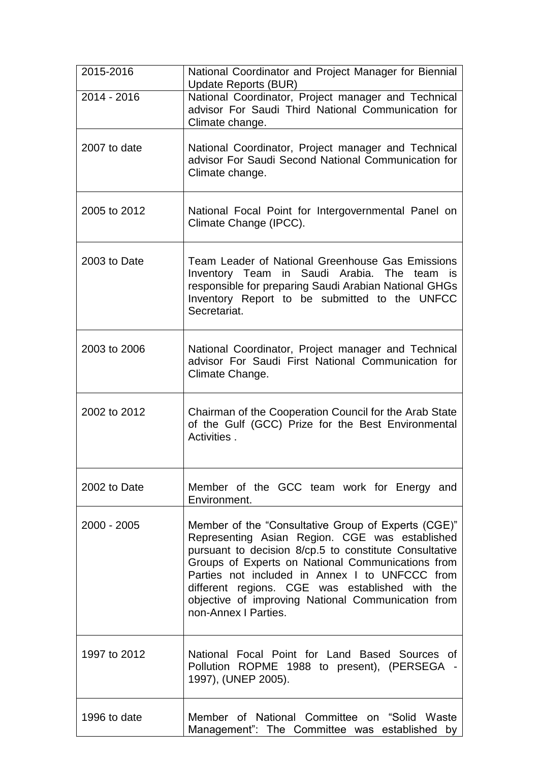| 2015-2016     | National Coordinator and Project Manager for Biennial<br>Update Reports (BUR)                                                                                                                                                                                                                                                                                                                           |
|---------------|---------------------------------------------------------------------------------------------------------------------------------------------------------------------------------------------------------------------------------------------------------------------------------------------------------------------------------------------------------------------------------------------------------|
| 2014 - 2016   | National Coordinator, Project manager and Technical<br>advisor For Saudi Third National Communication for<br>Climate change.                                                                                                                                                                                                                                                                            |
| 2007 to date  | National Coordinator, Project manager and Technical<br>advisor For Saudi Second National Communication for<br>Climate change.                                                                                                                                                                                                                                                                           |
| 2005 to 2012  | National Focal Point for Intergovernmental Panel on<br>Climate Change (IPCC).                                                                                                                                                                                                                                                                                                                           |
| 2003 to Date  | Team Leader of National Greenhouse Gas Emissions<br>Inventory Team in Saudi Arabia. The team is<br>responsible for preparing Saudi Arabian National GHGs<br>Inventory Report to be submitted to the UNFCC<br>Secretariat.                                                                                                                                                                               |
| 2003 to 2006  | National Coordinator, Project manager and Technical<br>advisor For Saudi First National Communication for<br>Climate Change.                                                                                                                                                                                                                                                                            |
| 2002 to 2012  | Chairman of the Cooperation Council for the Arab State<br>of the Gulf (GCC) Prize for the Best Environmental<br>Activities.                                                                                                                                                                                                                                                                             |
| 2002 to Date  | Member of the GCC team work for Energy and<br>Environment.                                                                                                                                                                                                                                                                                                                                              |
| $2000 - 2005$ | Member of the "Consultative Group of Experts (CGE)"<br>Representing Asian Region. CGE was established<br>pursuant to decision 8/cp.5 to constitute Consultative<br>Groups of Experts on National Communications from<br>Parties not included in Annex I to UNFCCC from<br>different regions. CGE was established with the<br>objective of improving National Communication from<br>non-Annex I Parties. |
| 1997 to 2012  | National Focal Point for Land Based Sources of<br>Pollution ROPME 1988 to present), (PERSEGA -<br>1997), (UNEP 2005).                                                                                                                                                                                                                                                                                   |
| 1996 to date  | Member of National Committee on "Solid Waste<br>Management": The Committee was established by                                                                                                                                                                                                                                                                                                           |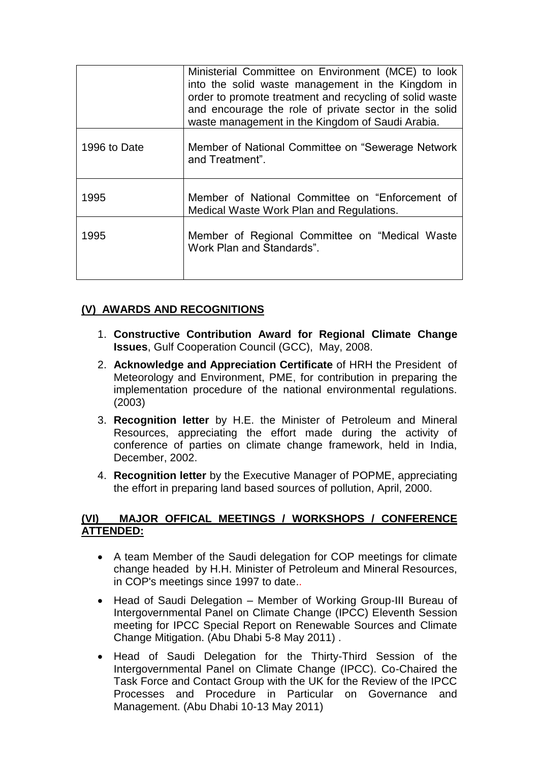|              | Ministerial Committee on Environment (MCE) to look<br>into the solid waste management in the Kingdom in<br>order to promote treatment and recycling of solid waste<br>and encourage the role of private sector in the solid<br>waste management in the Kingdom of Saudi Arabia. |
|--------------|---------------------------------------------------------------------------------------------------------------------------------------------------------------------------------------------------------------------------------------------------------------------------------|
| 1996 to Date | Member of National Committee on "Sewerage Network"<br>and Treatment".                                                                                                                                                                                                           |
| 1995         | Member of National Committee on "Enforcement of<br>Medical Waste Work Plan and Regulations.                                                                                                                                                                                     |
| 1995         | Member of Regional Committee on "Medical Waste<br>Work Plan and Standards".                                                                                                                                                                                                     |

# **(V) AWARDS AND RECOGNITIONS**

- 1. **Constructive Contribution Award for Regional Climate Change Issues**, Gulf Cooperation Council (GCC), May, 2008.
- 2. **Acknowledge and Appreciation Certificate** of HRH the President of Meteorology and Environment, PME, for contribution in preparing the implementation procedure of the national environmental regulations. (2003)
- 3. **Recognition letter** by H.E. the Minister of Petroleum and Mineral Resources, appreciating the effort made during the activity of conference of parties on climate change framework, held in India, December, 2002.
- 4. **Recognition letter** by the Executive Manager of POPME, appreciating the effort in preparing land based sources of pollution, April, 2000.

# **(VI) MAJOR OFFICAL MEETINGS / WORKSHOPS / CONFERENCE ATTENDED:**

- A team Member of the Saudi delegation for COP meetings for climate change headed by H.H. Minister of Petroleum and Mineral Resources, in COP's meetings since 1997 to date..
- Head of Saudi Delegation Member of Working Group-III Bureau of Intergovernmental Panel on Climate Change (IPCC) Eleventh Session meeting for IPCC Special Report on Renewable Sources and Climate Change Mitigation. (Abu Dhabi 5-8 May 2011) .
- Head of Saudi Delegation for the Thirty-Third Session of the Intergovernmental Panel on Climate Change (IPCC). Co-Chaired the Task Force and Contact Group with the UK for the Review of the IPCC Processes and Procedure in Particular on Governance and Management. (Abu Dhabi 10-13 May 2011)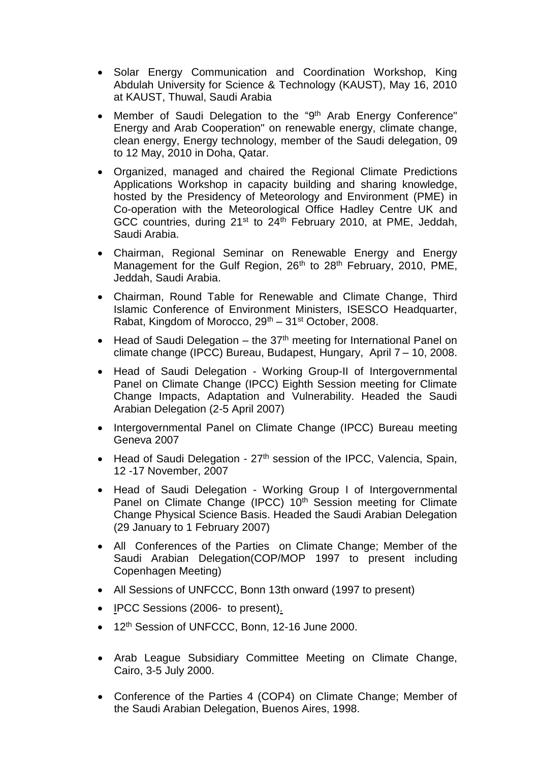- Solar Energy Communication and Coordination Workshop, King Abdulah University for Science & Technology (KAUST), May 16, 2010 at KAUST, Thuwal, Saudi Arabia
- Member of Saudi Delegation to the "9<sup>th</sup> Arab Energy Conference" Energy and Arab Cooperation" on renewable energy, climate change, clean energy, Energy technology, member of the Saudi delegation, 09 to 12 May, 2010 in Doha, Qatar.
- Organized, managed and chaired the Regional Climate Predictions Applications Workshop in capacity building and sharing knowledge, hosted by the Presidency of Meteorology and Environment (PME) in Co-operation with the Meteorological Office Hadley Centre UK and GCC countries, during 21<sup>st</sup> to 24<sup>th</sup> February 2010, at PME, Jeddah, Saudi Arabia.
- Chairman, Regional Seminar on Renewable Energy and Energy Management for the Gulf Region, 26<sup>th</sup> to 28<sup>th</sup> February, 2010, PME, Jeddah, Saudi Arabia.
- Chairman, Round Table for Renewable and Climate Change, Third Islamic Conference of Environment Ministers, ISESCO Headquarter, Rabat, Kingdom of Morocco,  $29<sup>th</sup> - 31<sup>st</sup> October$ , 2008.
- $\bullet$  Head of Saudi Delegation the 37<sup>th</sup> meeting for International Panel on climate change (IPCC) Bureau, Budapest, Hungary, April 7 – 10, 2008.
- Head of Saudi Delegation Working Group-II of Intergovernmental Panel on Climate Change (IPCC) Eighth Session meeting for Climate Change Impacts, Adaptation and Vulnerability. Headed the Saudi Arabian Delegation (2-5 April 2007)
- Intergovernmental Panel on Climate Change (IPCC) Bureau meeting Geneva 2007
- Head of Saudi Delegation 27<sup>th</sup> session of the IPCC, Valencia, Spain, 12 -17 November, 2007
- Head of Saudi Delegation Working Group I of Intergovernmental Panel on Climate Change (IPCC) 10<sup>th</sup> Session meeting for Climate Change Physical Science Basis. Headed the Saudi Arabian Delegation (29 January to 1 February 2007)
- All Conferences of the Parties on Climate Change; Member of the Saudi Arabian Delegation(COP/MOP 1997 to present including Copenhagen Meeting)
- All Sessions of UNFCCC, Bonn 13th onward (1997 to present)
- IPCC Sessions (2006- to present).
- 12<sup>th</sup> Session of UNFCCC, Bonn, 12-16 June 2000.
- Arab League Subsidiary Committee Meeting on Climate Change, Cairo, 3-5 July 2000.
- Conference of the Parties 4 (COP4) on Climate Change; Member of the Saudi Arabian Delegation, Buenos Aires, 1998.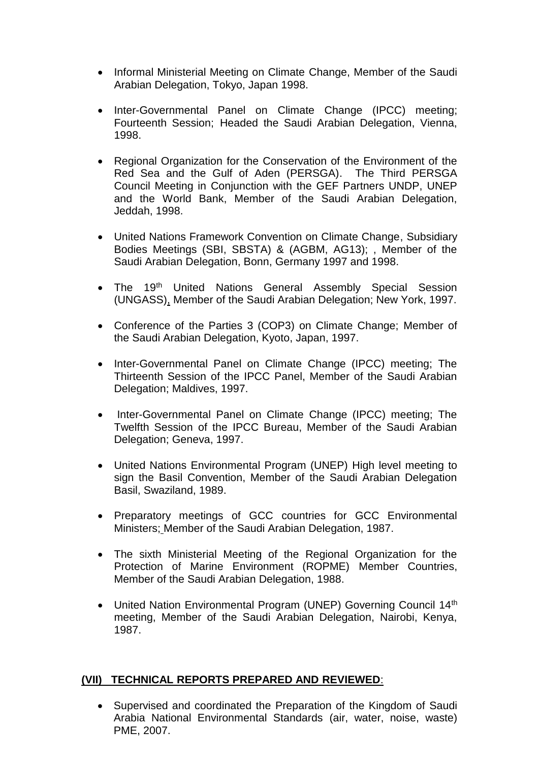- Informal Ministerial Meeting on Climate Change, Member of the Saudi Arabian Delegation, Tokyo, Japan 1998.
- Inter-Governmental Panel on Climate Change (IPCC) meeting: Fourteenth Session; Headed the Saudi Arabian Delegation, Vienna, 1998.
- Regional Organization for the Conservation of the Environment of the Red Sea and the Gulf of Aden (PERSGA). The Third PERSGA Council Meeting in Conjunction with the GEF Partners UNDP, UNEP and the World Bank, Member of the Saudi Arabian Delegation, Jeddah, 1998.
- United Nations Framework Convention on Climate Change, Subsidiary Bodies Meetings (SBI, SBSTA) & (AGBM, AG13); , Member of the Saudi Arabian Delegation, Bonn, Germany 1997 and 1998.
- The 19<sup>th</sup> United Nations General Assembly Special Session (UNGASS), Member of the Saudi Arabian Delegation; New York, 1997.
- Conference of the Parties 3 (COP3) on Climate Change; Member of the Saudi Arabian Delegation, Kyoto, Japan, 1997.
- Inter-Governmental Panel on Climate Change (IPCC) meeting; The Thirteenth Session of the IPCC Panel, Member of the Saudi Arabian Delegation; Maldives, 1997.
- Inter-Governmental Panel on Climate Change (IPCC) meeting; The Twelfth Session of the IPCC Bureau, Member of the Saudi Arabian Delegation; Geneva, 1997.
- United Nations Environmental Program (UNEP) High level meeting to sign the Basil Convention, Member of the Saudi Arabian Delegation Basil, Swaziland, 1989.
- Preparatory meetings of GCC countries for GCC Environmental Ministers; Member of the Saudi Arabian Delegation, 1987.
- The sixth Ministerial Meeting of the Regional Organization for the Protection of Marine Environment (ROPME) Member Countries, Member of the Saudi Arabian Delegation, 1988.
- United Nation Environmental Program (UNEP) Governing Council 14<sup>th</sup> meeting, Member of the Saudi Arabian Delegation, Nairobi, Kenya, 1987.

# **(VII) TECHNICAL REPORTS PREPARED AND REVIEWED**:

• Supervised and coordinated the Preparation of the Kingdom of Saudi Arabia National Environmental Standards (air, water, noise, waste) PME, 2007.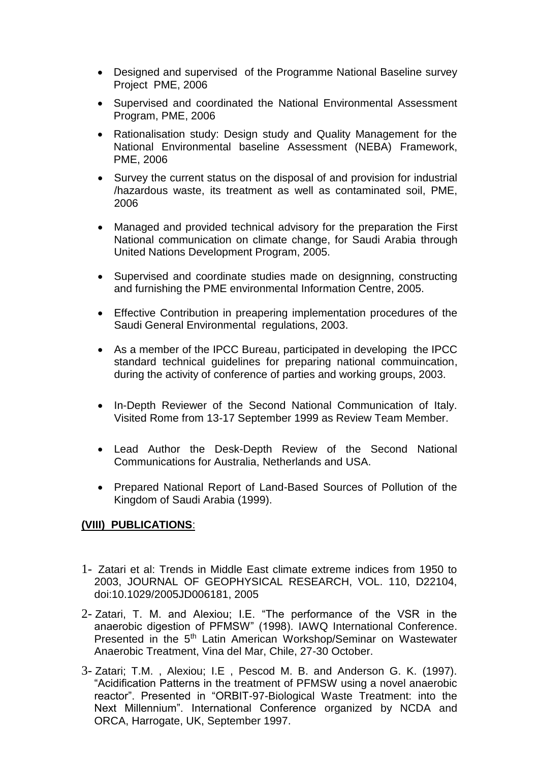- Designed and supervised of the Programme National Baseline survey Project PME, 2006
- Supervised and coordinated the National Environmental Assessment Program, PME, 2006
- Rationalisation study: Design study and Quality Management for the National Environmental baseline Assessment (NEBA) Framework, PME, 2006
- Survey the current status on the disposal of and provision for industrial /hazardous waste, its treatment as well as contaminated soil, PME, 2006
- Managed and provided technical advisory for the preparation the First National communication on climate change, for Saudi Arabia through United Nations Development Program, 2005.
- Supervised and coordinate studies made on designning, constructing and furnishing the PME environmental Information Centre, 2005.
- Effective Contribution in preapering implementation procedures of the Saudi General Environmental regulations, 2003.
- As a member of the IPCC Bureau, participated in developing the IPCC standard technical guidelines for preparing national commuincation, during the activity of conference of parties and working groups, 2003.
- In-Depth Reviewer of the Second National Communication of Italy. Visited Rome from 13-17 September 1999 as Review Team Member.
- Lead Author the Desk-Depth Review of the Second National Communications for Australia, Netherlands and USA.
- Prepared National Report of Land-Based Sources of Pollution of the Kingdom of Saudi Arabia (1999).

# **(VIII) PUBLICATIONS**:

- 1- Zatari et al: Trends in Middle East climate extreme indices from 1950 to 2003, JOURNAL OF GEOPHYSICAL RESEARCH, VOL. 110, D22104, doi:10.1029/2005JD006181, 2005
- 2- Zatari, T. M. and Alexiou; I.E. "The performance of the VSR in the anaerobic digestion of PFMSW" (1998). IAWQ International Conference. Presented in the 5th Latin American Workshop/Seminar on Wastewater Anaerobic Treatment, Vina del Mar, Chile, 27-30 October.
- 3- Zatari; T.M. , Alexiou; I.E , Pescod M. B. and Anderson G. K. (1997). "Acidification Patterns in the treatment of PFMSW using a novel anaerobic reactor". Presented in "ORBIT-97-Biological Waste Treatment: into the Next Millennium". International Conference organized by NCDA and ORCA, Harrogate, UK, September 1997.